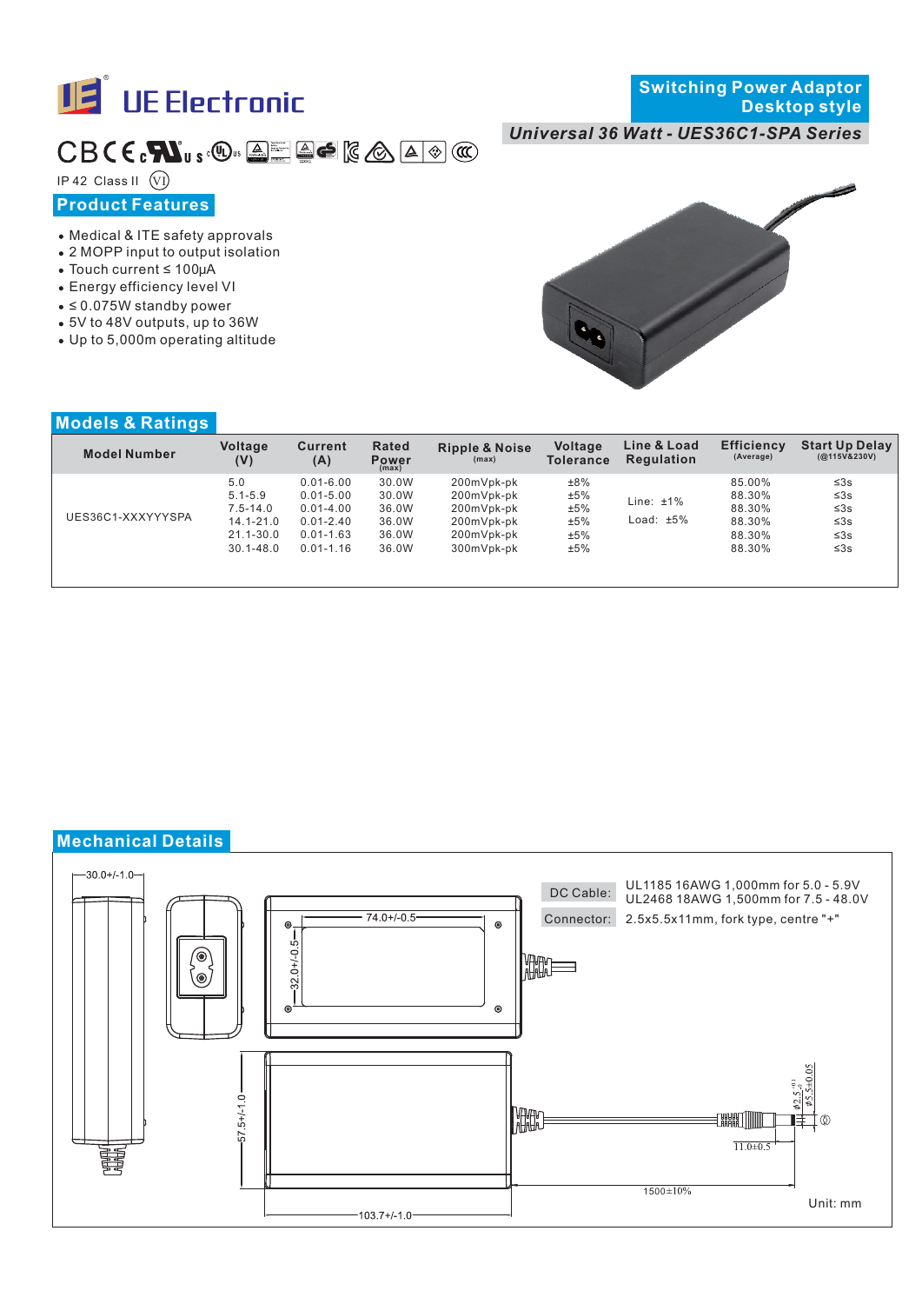

## *Universal 36 Watt - UES36C1-SPA Series*

# $CB$  (  $c$  ,  $\blacksquare$   $\blacksquare$   $\blacksquare$   $\blacksquare$   $\blacksquare$   $\blacksquare$   $\blacksquare$   $\blacksquare$   $\blacksquare$   $\blacksquare$   $\blacksquare$   $\blacksquare$

IP 42 Class II  $\widehat{V}$ 

# **Product Features**

- Medical & ITE safety approvals
- 2 MOPP input to output isolation
- $\bullet$  Touch current  $\leq 100 \mu A$
- Energy efficiency level VI
- ≤ 0.075W standby power
- 5V to 48V outputs, up to 36W
- Up to 5,000m operating altitude



#### **Models & Ratings**

| <b>Model Number</b> | Voltage<br>(V) | <b>Current</b><br>(A) | Rated<br><b>Power</b><br>(max) | <b>Ripple &amp; Noise</b><br>(max) | <b>Voltage</b><br><b>Tolerance</b> | Line & Load<br><b>Regulation</b> | <b>Efficiency</b><br>(Average) | <b>Start Up Delay</b><br>(Q <sub>115</sub> V&230V) |
|---------------------|----------------|-----------------------|--------------------------------|------------------------------------|------------------------------------|----------------------------------|--------------------------------|----------------------------------------------------|
| UES36C1-XXXYYYSPA   | 5.0            | $0.01 - 6.00$         | 30.0W                          | 200mVpk-pk                         | ±8%                                | Line: $±1\%$                     | 85.00%                         | $\leq 3s$                                          |
|                     | $5.1 - 5.9$    | $0.01 - 5.00$         | 30.0W                          | 200mVpk-pk                         | ±5%                                |                                  | 88.30%                         | $\leq 3s$                                          |
|                     | 7.5-14.0       | $0.01 - 4.00$         | 36.0W                          | 200mVpk-pk                         | ±5%                                |                                  | 88.30%                         | $\leq 3s$                                          |
|                     | $14.1 - 21.0$  | $0.01 - 2.40$         | 36.0W                          | 200mVpk-pk                         | ±5%                                | Load: $±5\%$                     | 88.30%                         | $\leq 3s$                                          |
|                     | 21.1-30.0      | $0.01 - 1.63$         | 36.0W                          | 200mVpk-pk                         | ±5%                                |                                  | 88.30%                         | $\leq 3s$                                          |
|                     | $30.1 - 48.0$  | $0.01 - 1.16$         | 36.0W                          | 300mVpk-pk                         | ±5%                                |                                  | 88.30%                         | ≤3s                                                |
|                     |                |                       |                                |                                    |                                    |                                  |                                |                                                    |

# **Mechanical Details**